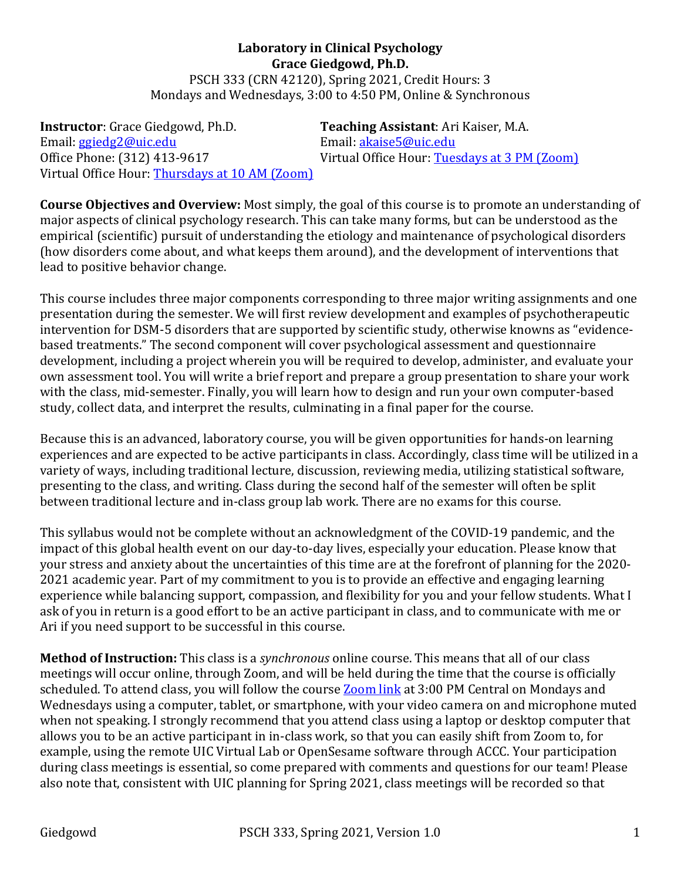**Laboratory in Clinical Psychology Grace Giedgowd, Ph.D.** PSCH 333 (CRN 42120), Spring 2021, Credit Hours: 3 Mondays and Wednesdays, 3:00 to 4:50 PM, Online & Synchronous

**Instructor**: Grace Giedgowd, Ph.D. **Teaching Assistant**: Ari Kaiser, M.A. Email: ggiedg2@uic.edu Email: akaise5@uic.edu Office Phone: (312) 413-9617 Virtual Office Hour: Tuesdays at 3 PM (Zoom) Virtual Office Hour: Thursdays at 10 AM (Zoom)

**Course Objectives and Overview:** Most simply, the goal of this course is to promote an understanding of major aspects of clinical psychology research. This can take many forms, but can be understood as the empirical (scientific) pursuit of understanding the etiology and maintenance of psychological disorders (how disorders come about, and what keeps them around), and the development of interventions that lead to positive behavior change.

This course includes three major components corresponding to three major writing assignments and one presentation during the semester. We will first review development and examples of psychotherapeutic intervention for DSM-5 disorders that are supported by scientific study, otherwise knowns as "evidencebased treatments." The second component will cover psychological assessment and questionnaire development, including a project wherein you will be required to develop, administer, and evaluate your own assessment tool. You will write a brief report and prepare a group presentation to share your work with the class, mid-semester. Finally, you will learn how to design and run your own computer-based study, collect data, and interpret the results, culminating in a final paper for the course.

Because this is an advanced, laboratory course, you will be given opportunities for hands-on learning experiences and are expected to be active participants in class. Accordingly, class time will be utilized in a variety of ways, including traditional lecture, discussion, reviewing media, utilizing statistical software, presenting to the class, and writing. Class during the second half of the semester will often be split between traditional lecture and in-class group lab work. There are no exams for this course.

This syllabus would not be complete without an acknowledgment of the COVID-19 pandemic, and the impact of this global health event on our day-to-day lives, especially your education. Please know that your stress and anxiety about the uncertainties of this time are at the forefront of planning for the 2020-2021 academic year. Part of my commitment to you is to provide an effective and engaging learning experience while balancing support, compassion, and flexibility for you and your fellow students. What I ask of you in return is a good effort to be an active participant in class, and to communicate with me or Ari if you need support to be successful in this course.

**Method of Instruction:** This class is a *synchronous* online course. This means that all of our class meetings will occur online, through Zoom, and will be held during the time that the course is officially scheduled. To attend class, you will follow the course **Zoom link** at 3:00 PM Central on Mondays and Wednesdays using a computer, tablet, or smartphone, with your video camera on and microphone muted when not speaking. I strongly recommend that you attend class using a laptop or desktop computer that allows you to be an active participant in in-class work, so that you can easily shift from Zoom to, for example, using the remote UIC Virtual Lab or OpenSesame software through ACCC. Your participation during class meetings is essential, so come prepared with comments and questions for our team! Please also note that, consistent with UIC planning for Spring 2021, class meetings will be recorded so that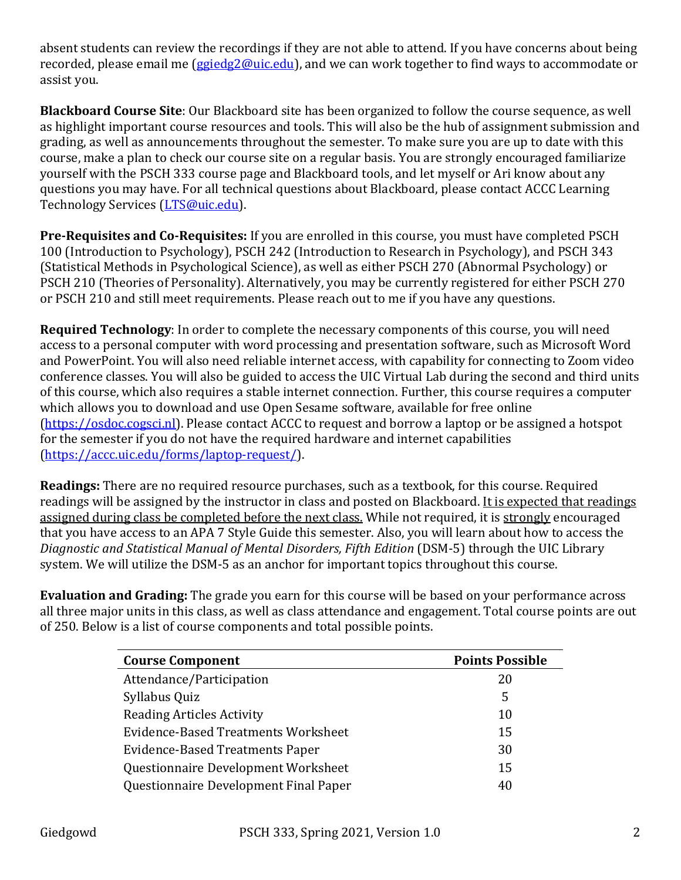absent students can review the recordings if they are not able to attend. If you have concerns about being recorded, please email me (*ggiedg2@uic.edu*), and we can work together to find ways to accommodate or assist you.

**Blackboard Course Site**: Our Blackboard site has been organized to follow the course sequence, as well as highlight important course resources and tools. This will also be the hub of assignment submission and grading, as well as announcements throughout the semester. To make sure you are up to date with this course, make a plan to check our course site on a regular basis. You are strongly encouraged familiarize yourself with the PSCH 333 course page and Blackboard tools, and let myself or Ari know about any questions you may have. For all technical questions about Blackboard, please contact ACCC Learning Technology Services (LTS@uic.edu).

**Pre-Requisites and Co-Requisites:** If you are enrolled in this course, you must have completed PSCH 100 (Introduction to Psychology), PSCH 242 (Introduction to Research in Psychology), and PSCH 343 (Statistical Methods in Psychological Science), as well as either PSCH 270 (Abnormal Psychology) or PSCH 210 (Theories of Personality). Alternatively, you may be currently registered for either PSCH 270 or PSCH 210 and still meet requirements. Please reach out to me if you have any questions.

**Required Technology**: In order to complete the necessary components of this course, you will need access to a personal computer with word processing and presentation software, such as Microsoft Word and PowerPoint. You will also need reliable internet access, with capability for connecting to Zoom video conference classes. You will also be guided to access the UIC Virtual Lab during the second and third units of this course, which also requires a stable internet connection. Further, this course requires a computer which allows you to download and use Open Sesame software, available for free online (https://osdoc.cogsci.nl). Please contact ACCC to request and borrow a laptop or be assigned a hotspot for the semester if you do not have the required hardware and internet capabilities (https://accc.uic.edu/forms/laptop-request/).

**Readings:** There are no required resource purchases, such as a textbook, for this course. Required readings will be assigned by the instructor in class and posted on Blackboard. It is expected that readings assigned during class be completed before the next class. While not required, it is strongly encouraged that you have access to an APA 7 Style Guide this semester. Also, you will learn about how to access the Diagnostic and Statistical Manual of Mental Disorders, Fifth Edition (DSM-5) through the UIC Library system. We will utilize the DSM-5 as an anchor for important topics throughout this course.

**Evaluation and Grading:** The grade you earn for this course will be based on your performance across all three major units in this class, as well as class attendance and engagement. Total course points are out of 250. Below is a list of course components and total possible points.

| <b>Course Component</b>                | <b>Points Possible</b> |
|----------------------------------------|------------------------|
| Attendance/Participation               | 20                     |
| Syllabus Quiz                          | 5                      |
| <b>Reading Articles Activity</b>       | 10                     |
| Evidence-Based Treatments Worksheet    | 15                     |
| <b>Evidence-Based Treatments Paper</b> | 30                     |
| Questionnaire Development Worksheet    | 15                     |
| Questionnaire Development Final Paper  | 40                     |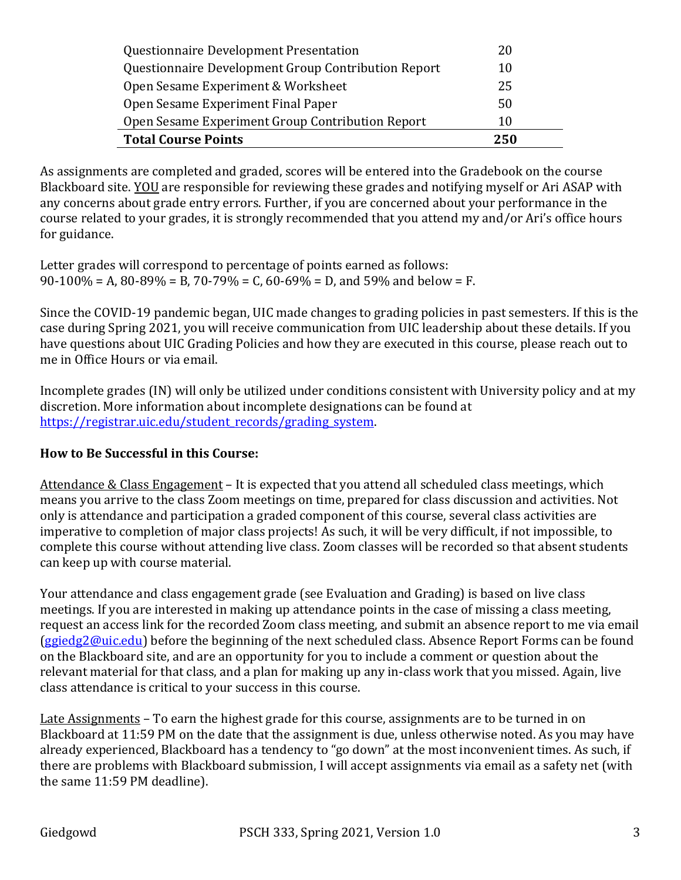| Questionnaire Development Presentation              | 20  |
|-----------------------------------------------------|-----|
| Questionnaire Development Group Contribution Report | 10  |
| Open Sesame Experiment & Worksheet                  | 25  |
| Open Sesame Experiment Final Paper                  | 50  |
| Open Sesame Experiment Group Contribution Report    | 10  |
| <b>Total Course Points</b>                          | 250 |

As assignments are completed and graded, scores will be entered into the Gradebook on the course Blackboard site. YOU are responsible for reviewing these grades and notifying myself or Ari ASAP with any concerns about grade entry errors. Further, if you are concerned about your performance in the course related to your grades, it is strongly recommended that you attend my and/or Ari's office hours for guidance.

Letter grades will correspond to percentage of points earned as follows:  $90-100\% = A$ ,  $80-89\% = B$ ,  $70-79\% = C$ ,  $60-69\% = D$ , and  $59\%$  and below = F.

Since the COVID-19 pandemic began, UIC made changes to grading policies in past semesters. If this is the case during Spring 2021, you will receive communication from UIC leadership about these details. If you have questions about UIC Grading Policies and how they are executed in this course, please reach out to me in Office Hours or via email.

Incomplete grades (IN) will only be utilized under conditions consistent with University policy and at my discretion. More information about incomplete designations can be found at https://registrar.uic.edu/student\_records/grading\_system.

## **How to Be Successful in this Course:**

Attendance & Class Engagement  $-$  It is expected that you attend all scheduled class meetings, which means you arrive to the class Zoom meetings on time, prepared for class discussion and activities. Not only is attendance and participation a graded component of this course, several class activities are imperative to completion of major class projects! As such, it will be very difficult, if not impossible, to complete this course without attending live class. Zoom classes will be recorded so that absent students can keep up with course material.

Your attendance and class engagement grade (see Evaluation and Grading) is based on live class meetings. If you are interested in making up attendance points in the case of missing a class meeting, request an access link for the recorded Zoom class meeting, and submit an absence report to me via email  $(ggiedg2@uic.edu)$  before the beginning of the next scheduled class. Absence Report Forms can be found on the Blackboard site, and are an opportunity for you to include a comment or question about the relevant material for that class, and a plan for making up any in-class work that you missed. Again, live class attendance is critical to your success in this course.

Late Assignments - To earn the highest grade for this course, assignments are to be turned in on Blackboard at 11:59 PM on the date that the assignment is due, unless otherwise noted. As you may have already experienced, Blackboard has a tendency to "go down" at the most inconvenient times. As such, if there are problems with Blackboard submission, I will accept assignments via email as a safety net (with the same 11:59 PM deadline).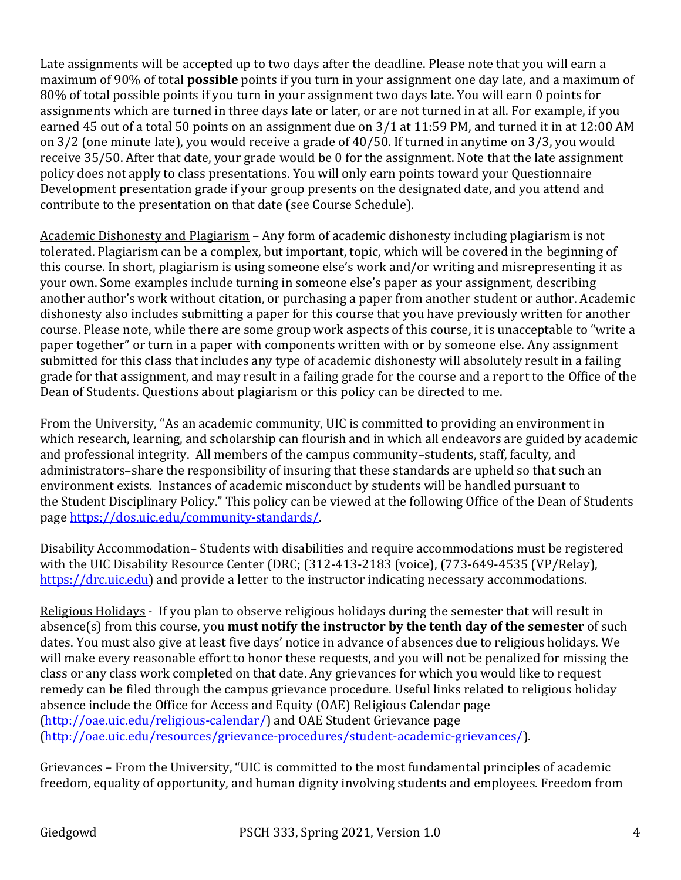Late assignments will be accepted up to two days after the deadline. Please note that you will earn a maximum of 90% of total **possible** points if you turn in your assignment one day late, and a maximum of 80% of total possible points if you turn in your assignment two days late. You will earn 0 points for assignments which are turned in three days late or later, or are not turned in at all. For example, if you earned 45 out of a total 50 points on an assignment due on 3/1 at 11:59 PM, and turned it in at 12:00 AM on  $3/2$  (one minute late), you would receive a grade of  $40/50$ . If turned in anytime on  $3/3$ , you would receive 35/50. After that date, your grade would be 0 for the assignment. Note that the late assignment policy does not apply to class presentations. You will only earn points toward your Questionnaire Development presentation grade if your group presents on the designated date, and you attend and contribute to the presentation on that date (see Course Schedule).

Academic Dishonesty and Plagiarism – Any form of academic dishonesty including plagiarism is not tolerated. Plagiarism can be a complex, but important, topic, which will be covered in the beginning of this course. In short, plagiarism is using someone else's work and/or writing and misrepresenting it as your own. Some examples include turning in someone else's paper as your assignment, describing another author's work without citation, or purchasing a paper from another student or author. Academic dishonesty also includes submitting a paper for this course that you have previously written for another course. Please note, while there are some group work aspects of this course, it is unacceptable to "write a paper together" or turn in a paper with components written with or by someone else. Any assignment submitted for this class that includes any type of academic dishonesty will absolutely result in a failing grade for that assignment, and may result in a failing grade for the course and a report to the Office of the Dean of Students. Questions about plagiarism or this policy can be directed to me.

From the University, "As an academic community, UIC is committed to providing an environment in which research, learning, and scholarship can flourish and in which all endeavors are guided by academic and professional integrity. All members of the campus community–students, staff, faculty, and administrators-share the responsibility of insuring that these standards are upheld so that such an environment exists. Instances of academic misconduct by students will be handled pursuant to the Student Disciplinary Policy." This policy can be viewed at the following Office of the Dean of Students page https://dos.uic.edu/community-standards/. 

Disability Accommodation– Students with disabilities and require accommodations must be registered with the UIC Disability Resource Center (DRC; (312-413-2183 (voice), (773-649-4535 (VP/Relay), https://drc.uic.edu) and provide a letter to the instructor indicating necessary accommodations.

Religious Holidays - If you plan to observe religious holidays during the semester that will result in absence(s) from this course, you **must notify the instructor by the tenth day of the semester** of such dates. You must also give at least five days' notice in advance of absences due to religious holidays. We will make every reasonable effort to honor these requests, and you will not be penalized for missing the class or any class work completed on that date. Any grievances for which you would like to request remedy can be filed through the campus grievance procedure. Useful links related to religious holiday absence include the Office for Access and Equity (OAE) Religious Calendar page (http://oae.uic.edu/religious-calendar/) and OAE Student Grievance page (http://oae.uic.edu/resources/grievance-procedures/student-academic-grievances/). 

Grievances – From the University, "UIC is committed to the most fundamental principles of academic freedom, equality of opportunity, and human dignity involving students and employees. Freedom from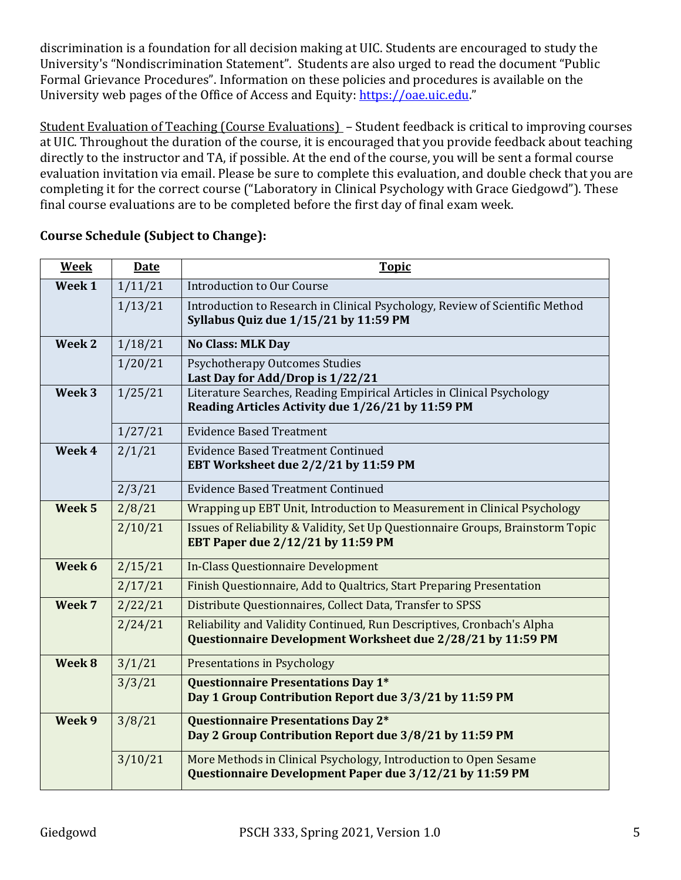discrimination is a foundation for all decision making at UIC. Students are encouraged to study the University's "Nondiscrimination Statement". Students are also urged to read the document "Public Formal Grievance Procedures". Information on these policies and procedures is available on the University web pages of the Office of Access and Equity: https://oae.uic.edu."

Student Evaluation of Teaching (Course Evaluations) - Student feedback is critical to improving courses at UIC. Throughout the duration of the course, it is encouraged that you provide feedback about teaching directly to the instructor and TA, if possible. At the end of the course, you will be sent a formal course evaluation invitation via email. Please be sure to complete this evaluation, and double check that you are completing it for the correct course ("Laboratory in Clinical Psychology with Grace Giedgowd"). These final course evaluations are to be completed before the first day of final exam week.

| <b>Week</b>       | <b>Date</b> | <b>Topic</b>                                                                                                                          |
|-------------------|-------------|---------------------------------------------------------------------------------------------------------------------------------------|
| Week 1            | 1/11/21     | <b>Introduction to Our Course</b>                                                                                                     |
|                   | 1/13/21     | Introduction to Research in Clinical Psychology, Review of Scientific Method<br>Syllabus Quiz due 1/15/21 by 11:59 PM                 |
| Week 2            | 1/18/21     | <b>No Class: MLK Day</b>                                                                                                              |
|                   | 1/20/21     | <b>Psychotherapy Outcomes Studies</b><br>Last Day for Add/Drop is 1/22/21                                                             |
| Week 3            | 1/25/21     | Literature Searches, Reading Empirical Articles in Clinical Psychology<br>Reading Articles Activity due 1/26/21 by 11:59 PM           |
|                   | 1/27/21     | <b>Evidence Based Treatment</b>                                                                                                       |
| Week 4            | 2/1/21      | <b>Evidence Based Treatment Continued</b><br>EBT Worksheet due 2/2/21 by 11:59 PM                                                     |
|                   | 2/3/21      | <b>Evidence Based Treatment Continued</b>                                                                                             |
| Week <sub>5</sub> | 2/8/21      | Wrapping up EBT Unit, Introduction to Measurement in Clinical Psychology                                                              |
|                   | 2/10/21     | Issues of Reliability & Validity, Set Up Questionnaire Groups, Brainstorm Topic<br>EBT Paper due 2/12/21 by 11:59 PM                  |
| Week 6            | 2/15/21     | <b>In-Class Questionnaire Development</b>                                                                                             |
|                   | 2/17/21     | Finish Questionnaire, Add to Qualtrics, Start Preparing Presentation                                                                  |
| Week 7            | 2/22/21     | Distribute Questionnaires, Collect Data, Transfer to SPSS                                                                             |
|                   | 2/24/21     | Reliability and Validity Continued, Run Descriptives, Cronbach's Alpha<br>Questionnaire Development Worksheet due 2/28/21 by 11:59 PM |
| Week 8            | 3/1/21      | <b>Presentations in Psychology</b>                                                                                                    |
|                   | 3/3/21      | Questionnaire Presentations Day 1*<br>Day 1 Group Contribution Report due 3/3/21 by 11:59 PM                                          |
| Week 9            | 3/8/21      | Questionnaire Presentations Day 2*<br>Day 2 Group Contribution Report due 3/8/21 by 11:59 PM                                          |
|                   | 3/10/21     | More Methods in Clinical Psychology, Introduction to Open Sesame<br>Questionnaire Development Paper due 3/12/21 by 11:59 PM           |

## **Course Schedule (Subject to Change):**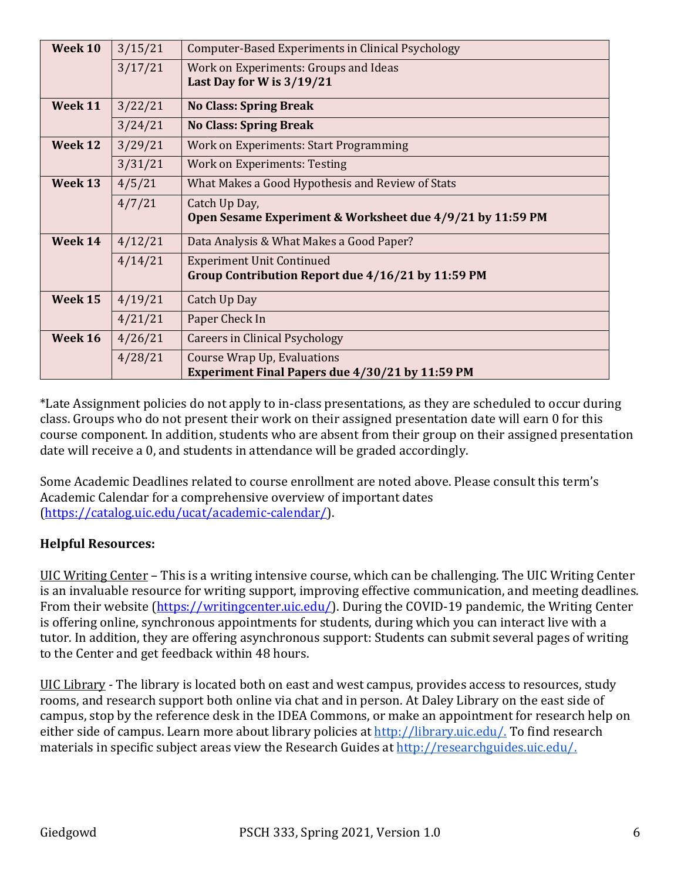| Week 10 | 3/15/21 | Computer-Based Experiments in Clinical Psychology                                     |
|---------|---------|---------------------------------------------------------------------------------------|
|         | 3/17/21 | Work on Experiments: Groups and Ideas<br>Last Day for W is $3/19/21$                  |
| Week 11 | 3/22/21 | <b>No Class: Spring Break</b>                                                         |
|         | 3/24/21 | <b>No Class: Spring Break</b>                                                         |
| Week 12 | 3/29/21 | Work on Experiments: Start Programming                                                |
|         | 3/31/21 | <b>Work on Experiments: Testing</b>                                                   |
| Week 13 | 4/5/21  | What Makes a Good Hypothesis and Review of Stats                                      |
|         | 4/7/21  | Catch Up Day,<br>Open Sesame Experiment & Worksheet due 4/9/21 by 11:59 PM            |
| Week 14 | 4/12/21 | Data Analysis & What Makes a Good Paper?                                              |
|         | 4/14/21 | <b>Experiment Unit Continued</b><br>Group Contribution Report due 4/16/21 by 11:59 PM |
| Week 15 | 4/19/21 | Catch Up Day                                                                          |
|         | 4/21/21 | Paper Check In                                                                        |
| Week 16 | 4/26/21 | Careers in Clinical Psychology                                                        |
|         | 4/28/21 | Course Wrap Up, Evaluations<br>Experiment Final Papers due 4/30/21 by 11:59 PM        |

\*Late Assignment policies do not apply to in-class presentations, as they are scheduled to occur during class. Groups who do not present their work on their assigned presentation date will earn 0 for this course component. In addition, students who are absent from their group on their assigned presentation date will receive a 0, and students in attendance will be graded accordingly.

Some Academic Deadlines related to course enrollment are noted above. Please consult this term's Academic Calendar for a comprehensive overview of important dates (https://catalog.uic.edu/ucat/academic-calendar/). 

## **Helpful Resources:**

UIC Writing Center – This is a writing intensive course, which can be challenging. The UIC Writing Center is an invaluable resource for writing support, improving effective communication, and meeting deadlines. From their website (https://writingcenter.uic.edu/). During the COVID-19 pandemic, the Writing Center is offering online, synchronous appointments for students, during which you can interact live with a tutor. In addition, they are offering asynchronous support: Students can submit several pages of writing to the Center and get feedback within 48 hours.

UIC Library - The library is located both on east and west campus, provides access to resources, study rooms, and research support both online via chat and in person. At Daley Library on the east side of campus, stop by the reference desk in the IDEA Commons, or make an appointment for research help on either side of campus. Learn more about library policies at http://library.uic.edu/. To find research materials in specific subject areas view the Research Guides at http://researchguides.uic.edu/.